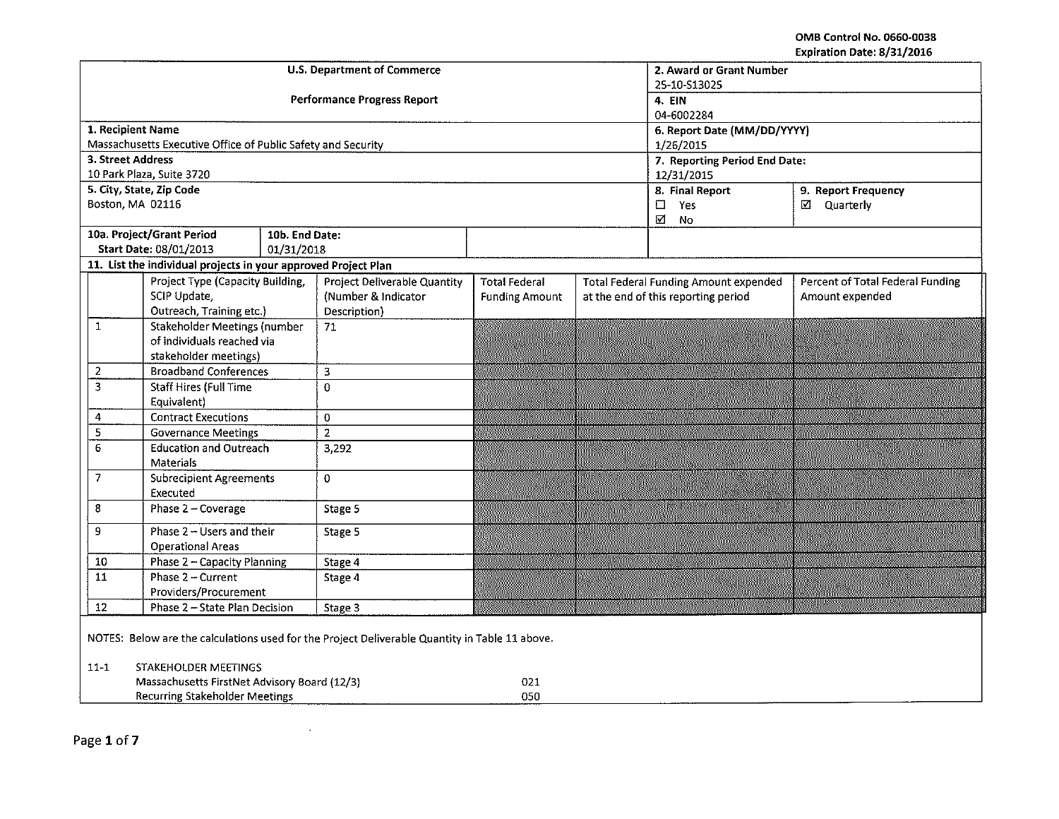OMB Control No. 0660-0038 Expiration Date: 8/31/2016

|                                                                                                |                                                                | <b>U.S. Department of Commerce</b> | 2. Award or Grant Number<br>25-10-S13025 |                             |  |                                                                                         |                     |  |  |  |
|------------------------------------------------------------------------------------------------|----------------------------------------------------------------|------------------------------------|------------------------------------------|-----------------------------|--|-----------------------------------------------------------------------------------------|---------------------|--|--|--|
|                                                                                                |                                                                |                                    | <b>Performance Progress Report</b>       | 4. EIN<br>04-6002284        |  |                                                                                         |                     |  |  |  |
| 1. Recipient Name                                                                              |                                                                |                                    |                                          | 6. Report Date (MM/DD/YYYY) |  |                                                                                         |                     |  |  |  |
|                                                                                                | Massachusetts Executive Office of Public Safety and Security   |                                    |                                          |                             |  | 1/26/2015                                                                               |                     |  |  |  |
| 3. Street Address                                                                              |                                                                |                                    |                                          |                             |  | 7. Reporting Period End Date:                                                           |                     |  |  |  |
|                                                                                                | 10 Park Plaza, Suite 3720                                      |                                    |                                          |                             |  | 12/31/2015                                                                              |                     |  |  |  |
| Boston, MA 02116                                                                               | 5. City, State, Zip Code                                       |                                    |                                          |                             |  | 8. Final Report                                                                         | 9. Report Frequency |  |  |  |
|                                                                                                |                                                                |                                    |                                          |                             |  | Yes<br>$\Box$<br>☑<br><b>No</b>                                                         | □ Quarterly         |  |  |  |
|                                                                                                | 10a. Project/Grant Period                                      | 10b. End Date:                     |                                          |                             |  |                                                                                         |                     |  |  |  |
|                                                                                                | Start Date: 08/01/2013                                         | 01/31/2018                         |                                          |                             |  |                                                                                         |                     |  |  |  |
|                                                                                                | 11. List the individual projects in your approved Project Plan |                                    |                                          |                             |  |                                                                                         |                     |  |  |  |
|                                                                                                | Project Type (Capacity Building,                               |                                    | Project Deliverable Quantity             | <b>Total Federal</b>        |  | <b>Percent of Total Federal Funding</b><br><b>Total Federal Funding Amount expended</b> |                     |  |  |  |
|                                                                                                | SCIP Update,                                                   |                                    | (Number & Indicator                      | <b>Funding Amount</b>       |  | at the end of this reporting period                                                     | Amount expended     |  |  |  |
|                                                                                                | Outreach, Training etc.)                                       |                                    | Description)                             |                             |  |                                                                                         |                     |  |  |  |
| $\mathbf{1}$                                                                                   | <b>Stakeholder Meetings (number</b>                            |                                    | 71                                       |                             |  |                                                                                         |                     |  |  |  |
|                                                                                                | of individuals reached via<br>stakeholder meetings)            |                                    |                                          |                             |  |                                                                                         |                     |  |  |  |
| $\overline{2}$                                                                                 | <b>Broadband Conferences</b>                                   |                                    | 3                                        |                             |  |                                                                                         |                     |  |  |  |
| 3                                                                                              | <b>Staff Hires (Full Time</b>                                  |                                    | $\Omega$                                 |                             |  |                                                                                         |                     |  |  |  |
|                                                                                                | Equivalent)                                                    |                                    |                                          |                             |  |                                                                                         |                     |  |  |  |
| 4                                                                                              | <b>Contract Executions</b>                                     |                                    | $\overline{0}$                           |                             |  |                                                                                         |                     |  |  |  |
| 5                                                                                              | <b>Governance Meetings</b>                                     |                                    | $\overline{2}$                           |                             |  |                                                                                         |                     |  |  |  |
| 6                                                                                              | <b>Education and Outreach</b>                                  |                                    | 3,292                                    |                             |  |                                                                                         |                     |  |  |  |
|                                                                                                | <b>Materials</b>                                               |                                    |                                          |                             |  |                                                                                         |                     |  |  |  |
| $\overline{7}$                                                                                 | <b>Subrecipient Agreements</b>                                 |                                    | $\Omega$                                 |                             |  |                                                                                         |                     |  |  |  |
|                                                                                                | Executed                                                       |                                    |                                          |                             |  |                                                                                         |                     |  |  |  |
| 8                                                                                              | Phase 2 - Coverage                                             |                                    | Stage 5                                  |                             |  |                                                                                         |                     |  |  |  |
| 9                                                                                              | Phase 2 - Users and their                                      |                                    | Stage 5                                  |                             |  |                                                                                         |                     |  |  |  |
|                                                                                                | <b>Operational Areas</b>                                       |                                    |                                          |                             |  |                                                                                         |                     |  |  |  |
| 10                                                                                             | Phase 2 - Capacity Planning                                    |                                    | Stage 4                                  |                             |  |                                                                                         |                     |  |  |  |
| $\overline{11}$<br>Phase 2 - Current                                                           |                                                                |                                    | Stage 4                                  |                             |  |                                                                                         |                     |  |  |  |
| 12                                                                                             | Providers/Procurement                                          |                                    |                                          |                             |  |                                                                                         |                     |  |  |  |
|                                                                                                | Phase 2 - State Plan Decision                                  |                                    | Stage 3                                  |                             |  |                                                                                         |                     |  |  |  |
| NOTES: Below are the calculations used for the Project Deliverable Quantity in Table 11 above. |                                                                |                                    |                                          |                             |  |                                                                                         |                     |  |  |  |
|                                                                                                |                                                                |                                    |                                          |                             |  |                                                                                         |                     |  |  |  |
| $11 - 1$<br>STAKEHOLDER MEETINGS<br>Massachusetts FirstNet Advisory Board (12/3)<br>021        |                                                                |                                    |                                          |                             |  |                                                                                         |                     |  |  |  |
|                                                                                                | Recurring Stakeholder Meetings                                 |                                    |                                          | 050                         |  |                                                                                         |                     |  |  |  |
|                                                                                                |                                                                |                                    |                                          |                             |  |                                                                                         |                     |  |  |  |

 $\sim$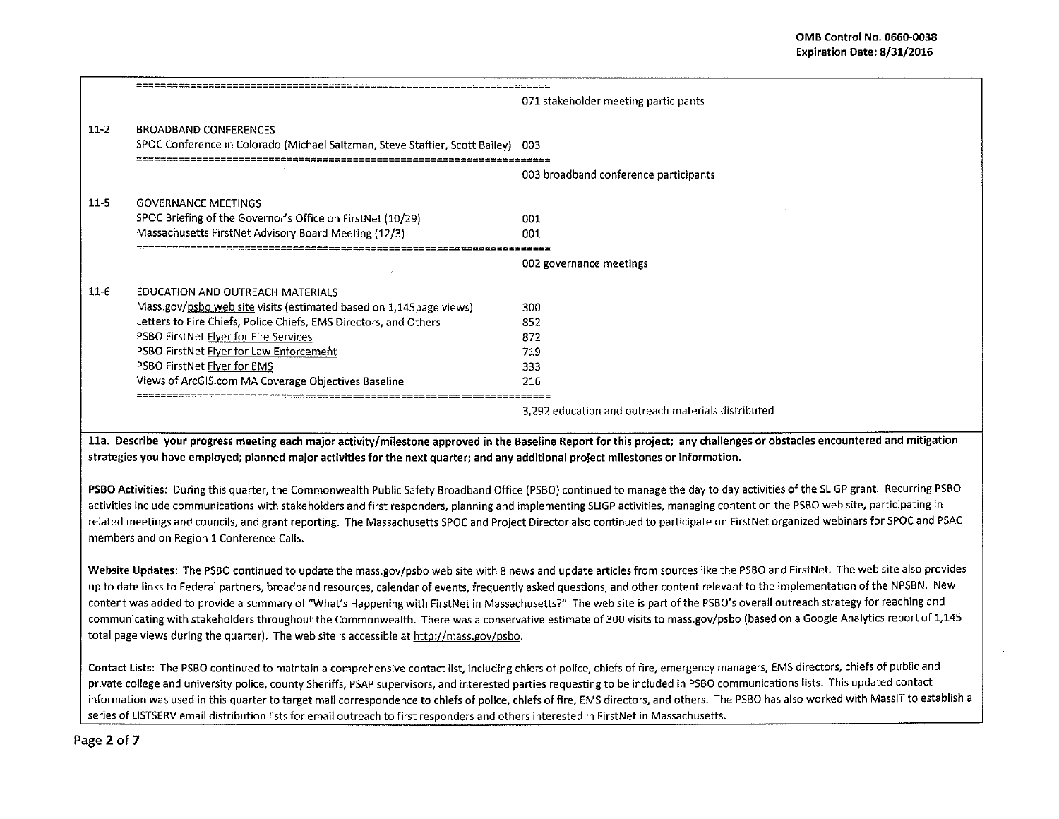|          |                                                                                                                  | 071 stakeholder meeting participants               |
|----------|------------------------------------------------------------------------------------------------------------------|----------------------------------------------------|
| $11 - 2$ | <b>BROADBAND CONFERENCES</b><br>SPOC Conference in Colorado (Michael Saltzman, Steve Staffier, Scott Bailey) 003 |                                                    |
|          |                                                                                                                  | 003 broadband conference participants              |
| $11 - 5$ | <b>GOVERNANCE MEETINGS</b>                                                                                       |                                                    |
|          | SPOC Briefing of the Governor's Office on FirstNet (10/29)                                                       | 001                                                |
|          | Massachusetts FirstNet Advisory Board Meeting (12/3)                                                             | 001                                                |
|          |                                                                                                                  | 002 governance meetings                            |
| $11 - 6$ | EDUCATION AND OUTREACH MATERIALS                                                                                 |                                                    |
|          | Mass.gov/psbo web site visits (estimated based on 1,145page views)                                               | 300                                                |
|          | Letters to Fire Chiefs, Police Chiefs, EMS Directors, and Others                                                 | 852                                                |
|          | PSBO FirstNet <b>Flyer for Fire Services</b>                                                                     | 372                                                |
|          | PSBO FirstNet Flyer for Law Enforcement                                                                          | 719                                                |
|          | PSBO FirstNet Flyer for EMS                                                                                      | 333                                                |
|          | Views of ArcGIS.com MA Coverage Objectives Baseline                                                              | 216                                                |
|          |                                                                                                                  | 3,292 education and outreach materials distributed |

11a. Describe your progress meeting each major activity/milestone approved in the Baseline Report for this project; any challenges or obstacles encountered and mitigation strategies you have employed; planned major activities for the next quarter; and any additional project milestones or information.

PSBO Activities: During this quarter, the Commonwealth Public Safety Broadband Office (PSBO) continued to manage the day to day activities of the SLIGP grant. Recurring PSBO activities include communications with stakeholders and first responders, planning and implementing SLIGP activities, managing content on the PSBO web site, participating in related meetings and councils, and grant reporting. The Massachusetts SPOC and Project Director also continued to participate on FirstNet organized webinars for SPOC and PSAC members and on Region 1 Conference Calls.

Website Updates: The PSBO continued to update the mass.gov/psbo web site with 8 news and update articles from sources like the PSBO and FirstNet. The web site also provides up to date links to Federal partners, broadband resources, calendar of events, frequently asked questions, and other content relevant to the implementation of the NPSBN. New content was added to provide a summary of "What's Happening with FirstNet in Massachusetts?" The web site is part of the PSBO's overall outreach strategy for reaching and communicating with stakeholders throughout the Commonwealth. There was a conservative estimate of 300 visits to mass.gov/psbo (based on a Google Analytics report of 1,145 total page views during the quarter). The web site is accessible at http://mass.gov/psbo.

Contact Lists: The PSBO continued to maintain a comprehensive contact list, including chiefs of police, chiefs of fire, emergency managers, EMS directors, chiefs of public and private college and university police, county Sheriffs, PSAP supervisors, and interested parties requesting to be included in PSBO communications lists. This updated contact information was used in this quarter to target mail correspondence to chiefs of police, chiefs of fire, EMS directors, and others. The PSBO has also worked with Mass IT to establish a series of LISTSERV email distribution lists for email outreach to first responders and others interested in FirstNet in Massachusetts.

Page 2 of 7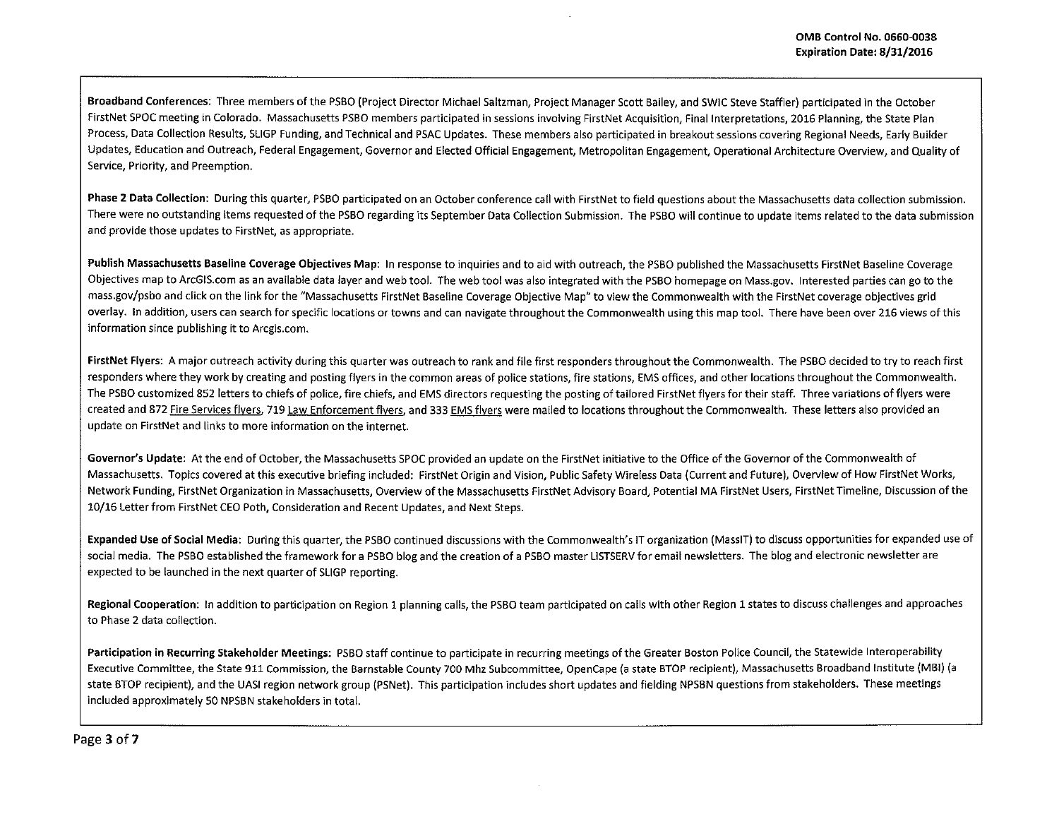Broadband Conferences: Three members ofthe PSBO (Project Director Michael Saltzman, Project Manager Scott Bailey, and SWIC Steve Staffier) participated in the October FirstNet SPOC meeting in Colorado. Massachusetts PSBO members participated in sessions involving FirstNet Acquisition, Final Interpretations, 2016 Planning, the State Plan Process, Data Collection Results, SLIGP Funding, and Technical and PSAC Updates. These members also participated in breakout sessions covering Regional Needs, Early Builder Updates, Education and Outreach, Federal Engagement, Governor and Elected Official Engagement, Metropolitan Engagement, Operational Architecture Overview, and Quality of Service, Priority, and Preemption.

Phase 2 Data Collection: During this quarter, PSBO participated on an October conference call with FirstNet to field questions about the Massachusetts data collection submission. There were no outstanding items requested of the PSBO regarding its September Data Collection Submission. The PSBO will continue to update items related to the data submission and provide those updates to FirstNet, as appropriate.

Publish Massachusetts Baseline Coverage Objectives Map: In response to inquiries and to aid with outreach, the PSBO published the Massachusetts FirstNet Baseline Coverage Objectives map to ArcGIS.com as an available data layer and web tool. The web tool was also integrated with the PSBO homepage on Mass.gov. Interested parties can go to the mass.gov/psbo and click on the link for the "Massachusetts First Net Baseline Coverage Objective Map" to view the Commonwealth with the FirstNet coverage objectives grid overlay. In addition, users can search for specific locations or towns and can navigate throughout the Commonwealth using this map tool. There have been *over* 216 views of this information since publishing it to Arcgis.com.

FirstNet Flyers: A major outreach activity during this quarter was outreach to rank and file first responders throughout the Commonwealth. The PSBO decided to try to reach first responders where they work by creating and posting flyers in the common areas of police stations, fire stations, EMS offices, and other locations throughout the Commonwealth. The PSBO customized 852 letters to chiefs of police, fire chiefs, and EMS directors requesting the posting of tailored FirstNet flyers for their staff. Three variations of flyers were created and 872 Fire Services flyers, 719 Law Enforcement flyers, and 333 EMS flyers were mailed to locations throughout the Commonwealth. These letters also provided an update on FirstNet and links to more information on the internet.

Governor's Update: At the end of October, the Massachusetts SPOC provided an update on the FirstNet initiative to the Office of the Governor of the Commonwealth of Massachusetts. Topics covered at this executive briefing included: FirstNet Origin and Vision, Public Safety Wireless Data (Current and Future), Overview of How FirstNet Works, Network Funding, FirstNet Organization in Massachusetts, Overview of the Massachusetts FirstNet Advisory Board, Potential MA FirstNet Users, FirstNet Timeline, Discussion of the 10/16 Letter from FirstNet CEO Poth, Consideration and Recent Updates, and Next Steps.

Expanded Use of Social Media: During this quarter, the PSBO continued discussions with the Commonwealth's IT organization (MassiT) to discuss opportunities for expanded use of social media. The PSBO established the framework for a PSBO blog and the creation of a PSBO master LISTSERV for email newsletters. The blog and electronic newsletter are expected to be launched in the next quarter of SLIGP reporting.

Regional Cooperation: In addition to participation on Region 1 planning calls, the PSBO team participated on calls with other Region 1 states to discuss challenges and approaches to Phase 2 data collection.

Participation in Recurring Stakeholder Meetings: PSBO staff continue to participate in recurring meetings of the Greater Boston Police Council, the Statewide Interoperability Executive Committee, the State 911 Commission, the Barnstable County 700 Mhz Subcommittee, OpenCape (a state STOP recipient), Massachusetts Broadband Institute (MBI) (a state STOP recipient), and the UASI region network group {PSNet). This participation includes short updates and fielding NPSBN questions from stakeholders. These meetings included approximately SO NPSBN stakeholders in total.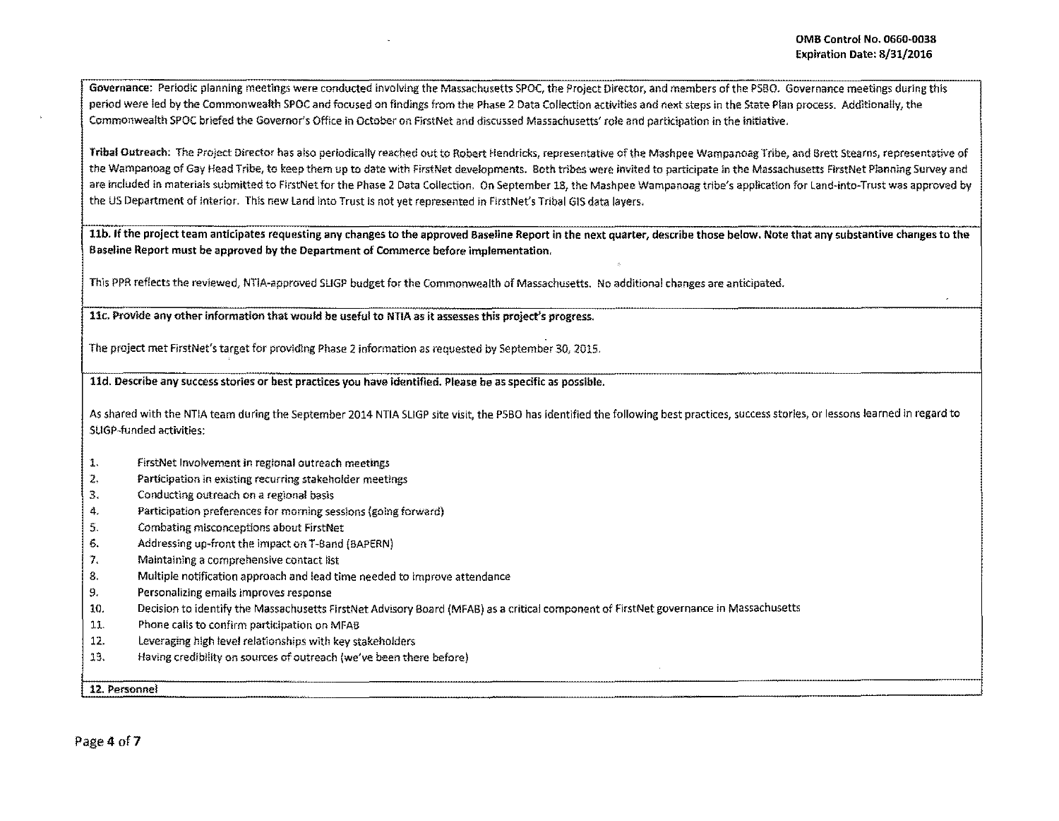Govemance: Periodic planning meetings were conducted involving the Massachusetts SPOC, the Project Director, and members of the PSBO. Governance meetings durlng this period were led by the Commonwealth SPOC and focused on findlngs from the Phase 2 Data Collection activities and next steps in the State Plan process. Additionally, the Commonwealth SPOC briefed the Governor's Office in October on FlrstNet and discussed Massachusetts' role and participation in the initiative,

Tribal Outreach: The Project Director has also periodically reached out to Robert Hendricks, representative of the Mashpee Wampanoag Tribe, and Brett Stearns, representative of the Wampanoag of Gay Head Tribe, to keep them up to date with FirstNet developments. Both tribes were invited to participate in the Massachusetts FirstNet Planning Survey and are included in materials submitted to FirstNet for the Phase 2 Data Collection. On September 18, the Mashpee Wampanoag tribe's application for Land-into-Trust was approved by the US Department of Interior. Thls new land into Trust Is not yet represented in FirstNet's Tribal GIS data layers.

llb. If the project team anticipates requesting any changes to the approved Baseline Report in the next quarter, describe those below. Note that any substantive changes to the Baseline Report must be approved by the Department of Commerce before implementation.

This PPR reflects the reviewed, NTIA·approved SLIGP budget for the Commonwealth of Massachusetts. No additional changes are anticipated.

11c. Provide any other information that would be useful to NTIA as it assesses this project's progress.

The project met FirstNet's target for providing Phase 2 information as requested by September 30, 2015.

11d. Describe any success stories or best practices you have identified. Please be as specific as possible.

As shared with the NTIA team during the September 2014 NTIA SLIGP site visit, the PSBO has identified the following best practices, success stories, or lessons learned in regard to SLIGP-funded activities:

- 1. FirstNet Involvement in regional outreach meetings
- *2.* Participation in existing recurring stakeholder meetings
- 3. Conducting outreach on a regional basis
- 4. Participation preferences for morning sessions (golng forward)
- 5. Combating misconceptions about FirstNet
- 6. Addressing up-front the impact on T-Band (BAPERN)
- 7. Maintaining a comprehensive contact list
- 8. Multiple notification approach and lead time needed to improve attendance
- 9. Personalizlng emails improves response
- 10. Decision to identify the Massachusetts FirstNet Advisory Board (MFAB) as a critical component of FirstNet governance In Massachusetts
- 11. Phone calls to confirm participation on MFAB
- 12. Leveraging high level relationships wlth key stakeholders
- 13. Having credibility on sources of outreach (we've been there before)

12. Personnel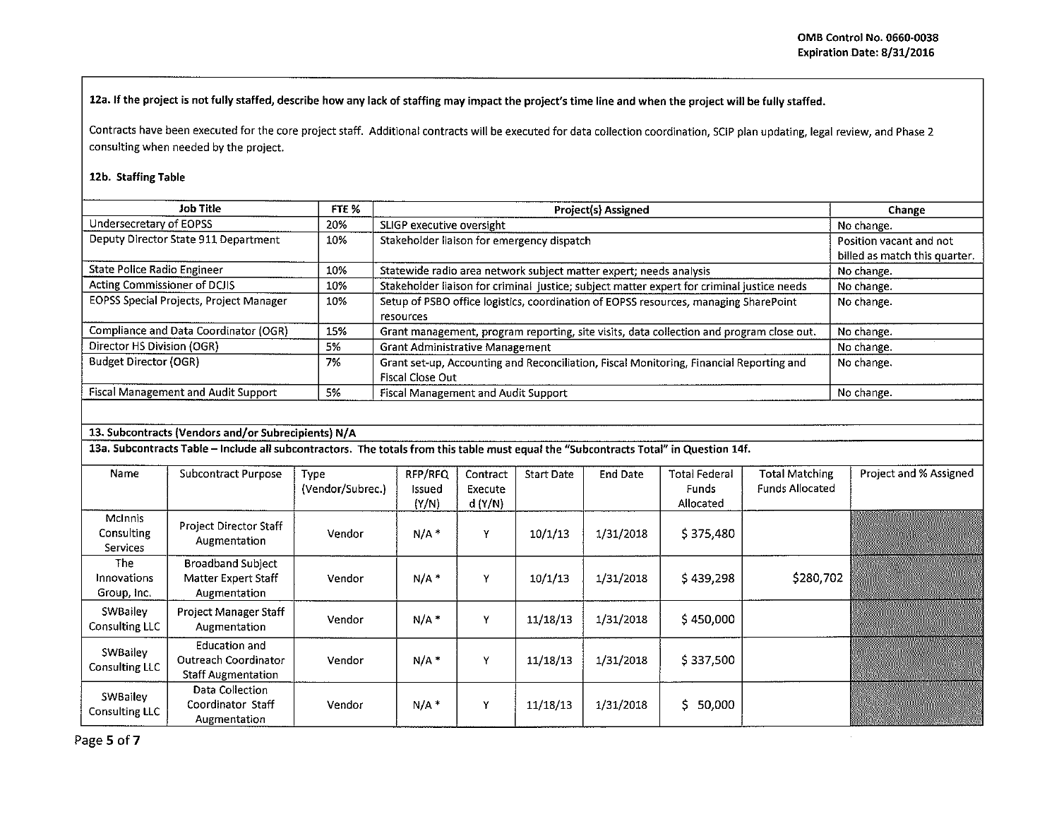12a. If the project is not fully staffed, describe how any lack of staffing may impact the project's time line and when the project will be fully staffed.

Contracts have been executed for the core project staff. Additional contracts will be executed for data collection coordination, SCIP plan updating, legal review, and Phase 2 consulting when needed by the project.

## 12b. Staffing Table

| Job Title                               | FTE % | Project(s) Assigned                                                                        | Change                        |
|-----------------------------------------|-------|--------------------------------------------------------------------------------------------|-------------------------------|
| Undersecretary of EOPSS                 | 20%   | SLIGP executive oversight                                                                  | No change.                    |
| Deputy Director State 911 Department    | 10%   | Stakeholder liaison for emergency dispatch                                                 | Position vacant and not       |
|                                         |       |                                                                                            | billed as match this quarter. |
| State Police Radio Engineer             | 10%   | Statewide radio area network subject matter expert; needs analysis                         | No change.                    |
| Acting Commissioner of DCJIS            | 10%   | Stakeholder liaison for criminal justice; subject matter expert for criminal justice needs | No change.                    |
| EOPSS Special Projects, Project Manager | 10%   | Setup of PSBO office logistics, coordination of EOPSS resources, managing SharePoint       | No change.                    |
|                                         |       | resources                                                                                  |                               |
| Compliance and Data Coordinator (OGR)   | 15%   | Grant management, program reporting, site visits, data collection and program close out.   | No change.                    |
| Director HS Division (OGR)              | 5%    | Grant Administrative Management                                                            | No change.                    |
| <b>Budget Director (OGR)</b>            | 7%    | Grant set-up, Accounting and Reconciliation, Fiscal Monitoring, Financial Reporting and    | No change.                    |
|                                         |       | Fiscal Close Out                                                                           |                               |
| Fiscal Management and Audit Support     | 5%    | Fiscal Management and Audit Support                                                        | No change.                    |

## 13. Subcontracts (Vendors and/or Subrecipients) N/A

13a. Subcontracts Table - Include all subcontractors. The totals from this table must equal the "Subcontracts Total" in Question 14f.

| Name                                     | <b>Subcontract Purpose</b>                                         | Type<br>(Vendor/Subrec.) | RFP/RFQ<br>Issued<br>(Y/N) | Contract<br>Execute<br>d(Y/N) | <b>Start Date</b> | <b>End Date</b> | <b>Total Federal</b><br>Funds<br>Allocated | <b>Total Matching</b><br><b>Funds Allocated</b> | <b>Project and % Assigned</b> |
|------------------------------------------|--------------------------------------------------------------------|--------------------------|----------------------------|-------------------------------|-------------------|-----------------|--------------------------------------------|-------------------------------------------------|-------------------------------|
| <b>McInnis</b><br>Consulting<br>Services | <b>Project Director Staff</b><br>Augmentation                      | Vendor                   | $N/A$ *                    | v                             | 10/1/13           | 1/31/2018       | \$375,480                                  |                                                 |                               |
| The<br><b>Innovations</b><br>Group, Inc. | Broadband Subject<br>Matter Expert Staff<br>Augmentation           | Vendor                   | $N/A$ *                    | $\mathbf v$                   | 10/1/13           | 1/31/2018       | \$439,298                                  | \$280,702                                       |                               |
| SWBailey<br>Consulting LLC               | <b>Project Manager Staff</b><br>Augmentation                       | Vendor                   | $N/A$ *                    | v                             | 11/18/13          | 1/31/2018       | \$450,000                                  |                                                 |                               |
| SWBailey<br><b>Consulting LLC</b>        | Education and<br>Outreach Coordinator<br><b>Staff Augmentation</b> | Vendor                   | N/A                        | ٧                             | 11/18/13          | 1/31/2018       | \$337,500                                  |                                                 |                               |
| SWBailey<br>Consulting LLC               | Data Collection<br>Coordinator Staff<br>Augmentation               | Vendor                   | $N/A$ *                    | Y                             | 11/18/13          | 1/31/2018       | \$.<br>50,000                              |                                                 |                               |

Page 5 of 7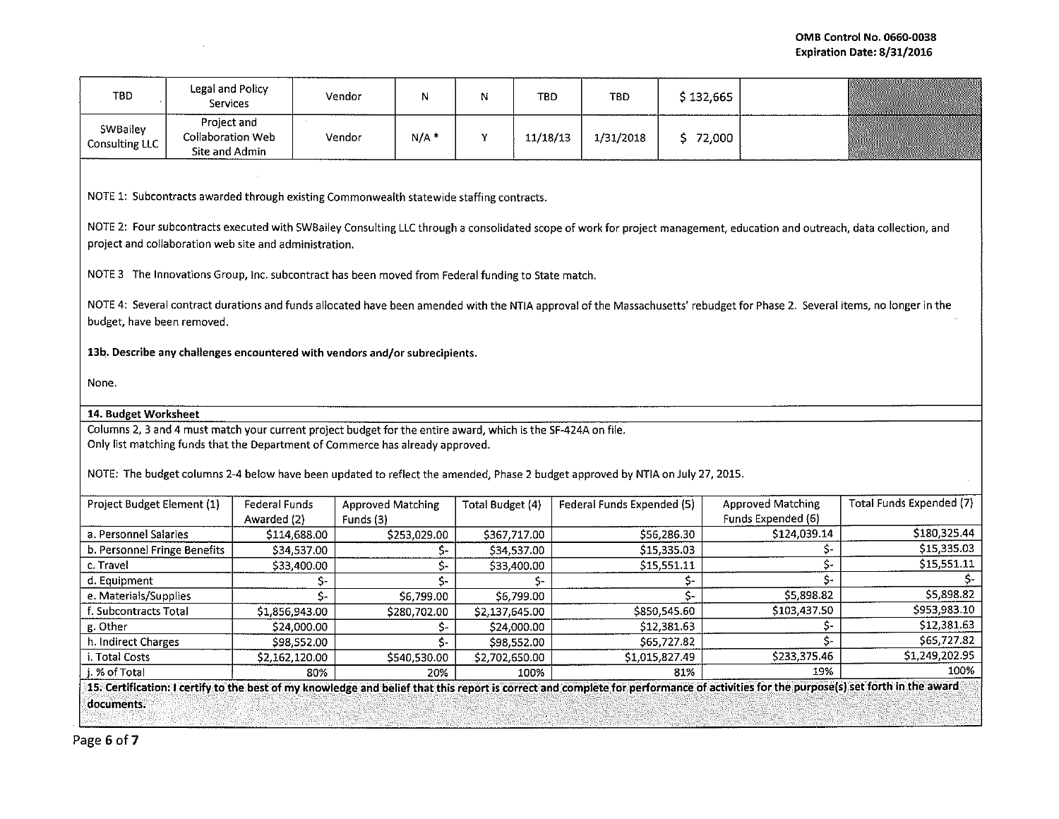| <b>TBD</b>                                                                                                                                                                                                                                                                                                                                                                                                                            | Legal and Policy<br><b>Services</b>                       |                              | Vendor<br>N                           |                           | N                | TBD      | <b>TBD</b>                 | \$132,665    |                                                |                                 |
|---------------------------------------------------------------------------------------------------------------------------------------------------------------------------------------------------------------------------------------------------------------------------------------------------------------------------------------------------------------------------------------------------------------------------------------|-----------------------------------------------------------|------------------------------|---------------------------------------|---------------------------|------------------|----------|----------------------------|--------------|------------------------------------------------|---------------------------------|
| SWBailey<br>Consulting LLC                                                                                                                                                                                                                                                                                                                                                                                                            | Project and<br><b>Collaboration Web</b><br>Site and Admin |                              | $N/A$ *<br>Vendor                     |                           | Y                | 11/18/13 | 1/31/2018                  | \$72,000     |                                                |                                 |
| NOTE 1: Subcontracts awarded through existing Commonwealth statewide staffing contracts.<br>NOTE 2: Four subcontracts executed with SWBailey Consulting LLC through a consolidated scope of work for project management, education and outreach, data collection, and<br>project and collaboration web site and administration.<br>NOTE 3 The Innovations Group, Inc. subcontract has been moved from Federal funding to State match. |                                                           |                              |                                       |                           |                  |          |                            |              |                                                |                                 |
| NOTE 4: Several contract durations and funds allocated have been amended with the NTIA approval of the Massachusetts' rebudget for Phase 2. Several items, no longer in the<br>budget, have been removed.<br>13b. Describe any challenges encountered with vendors and/or subrecipients.                                                                                                                                              |                                                           |                              |                                       |                           |                  |          |                            |              |                                                |                                 |
| None.                                                                                                                                                                                                                                                                                                                                                                                                                                 |                                                           |                              |                                       |                           |                  |          |                            |              |                                                |                                 |
| 14. Budget Worksheet                                                                                                                                                                                                                                                                                                                                                                                                                  |                                                           |                              |                                       |                           |                  |          |                            |              |                                                |                                 |
| Columns 2, 3 and 4 must match your current project budget for the entire award, which is the SF-424A on file.<br>Only list matching funds that the Department of Commerce has already approved.<br>NOTE: The budget columns 2-4 below have been updated to reflect the amended, Phase 2 budget approved by NTIA on July 27, 2015.                                                                                                     |                                                           |                              |                                       |                           |                  |          |                            |              |                                                |                                 |
| Project Budget Element (1)                                                                                                                                                                                                                                                                                                                                                                                                            |                                                           | Federal Funds<br>Awarded (2) | <b>Approved Matching</b><br>Funds (3) |                           | Total Budget (4) |          | Federal Funds Expended (5) |              | <b>Approved Matching</b><br>Funds Expended (6) | <b>Total Funds Expended (7)</b> |
| a. Personnel Salaries                                                                                                                                                                                                                                                                                                                                                                                                                 |                                                           | \$114,688.00                 | \$253,029.00                          |                           | \$367,717.00     |          |                            | \$56,286.30  | \$124,039.14                                   | \$180,325.44                    |
| b. Personnel Fringe Benefits                                                                                                                                                                                                                                                                                                                                                                                                          |                                                           | \$34,537.00                  |                                       | \$-                       | \$34,537.00      |          |                            | \$15,335.03  | \$-                                            | \$15,335.03                     |
| c. Travel                                                                                                                                                                                                                                                                                                                                                                                                                             |                                                           | \$33,400.00                  |                                       | \$-                       | \$33,400.00      |          |                            | \$15,551.11  | \$-                                            | \$15,551.11                     |
| d. Equipment                                                                                                                                                                                                                                                                                                                                                                                                                          |                                                           | \$-                          |                                       | \$-                       |                  | \$-      |                            | \$-          | Ś.                                             | Ś-                              |
| e. Materials/Supplies                                                                                                                                                                                                                                                                                                                                                                                                                 |                                                           | Ś-                           | \$6,799.00                            |                           | \$6,799.00       |          |                            | Ŝ-           | \$5,898.82                                     | \$5,898.82                      |
| f. Subcontracts Total                                                                                                                                                                                                                                                                                                                                                                                                                 |                                                           | \$1,856,943.00               | \$280,702.00                          |                           | \$2,137,645.00   |          |                            | \$850,545.60 | \$103,437.50                                   | \$953,983.10                    |
| g. Other                                                                                                                                                                                                                                                                                                                                                                                                                              |                                                           | \$24,000.00                  |                                       | \$-                       | \$24,000.00      |          |                            | \$12,381.63  | \$-                                            | \$12,381.63                     |
| h. Indirect Charges                                                                                                                                                                                                                                                                                                                                                                                                                   |                                                           | \$98,552.00                  |                                       | $\overline{\mathsf{S}}$ - | \$98,552.00      |          |                            | \$65,727.82  | \$-                                            | \$65,727.82                     |
| i. Total Costs                                                                                                                                                                                                                                                                                                                                                                                                                        |                                                           | \$2,162,120.00               | \$540,530.00                          |                           | \$2,702,650.00   |          | \$1,015,827.49             |              | \$233,375.46                                   | \$1,249,202.95                  |
| j. % of Total                                                                                                                                                                                                                                                                                                                                                                                                                         |                                                           | 80%                          |                                       | 20%                       |                  | 100%     |                            | 81%          | 19%                                            | 100%                            |
| 15. Certification: I certify to the best of my knowledge and belief that this report is correct and complete for performance of activities for the purpose(s) set forth in the award                                                                                                                                                                                                                                                  |                                                           |                              |                                       |                           |                  |          |                            |              |                                                |                                 |
| documents.                                                                                                                                                                                                                                                                                                                                                                                                                            |                                                           |                              |                                       |                           |                  |          |                            |              |                                                |                                 |

rm